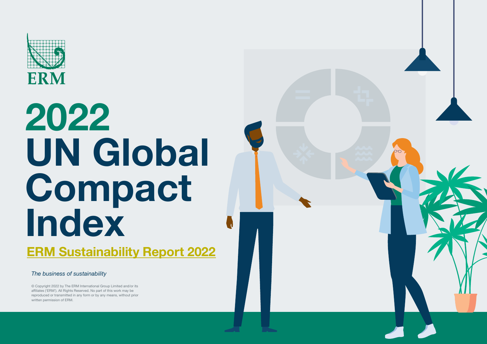

# **2022 UN Global Compact Index [ERM Sustainability Report 2022](https://www.erm.com/sustainability-report/)**

*The business of sustainability*

© Copyright 2022 by The ERM International Group Limited and/or its affiliates ('ERM'). All Rights Reserved. No part of this work may be reproduced or transmitted in any form or by any means, without prior written permission of ERM.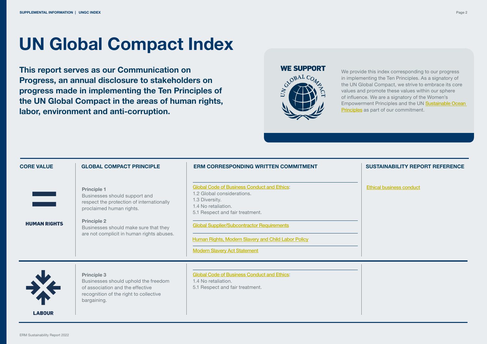### **UN Global Compact Index**

**This report serves as our Communication on Progress, an annual disclosure to stakeholders on progress made in implementing the Ten Principles of the UN Global Compact in the areas of human rights, labor, environment and anti-corruption.** 

#### **WE SUPPORT**



We provide this index corresponding to our progress in implementing the Ten Principles. As a signatory of the UN Global Compact, we strive to embrace its core values and promote these values within our sphere of influence. We are a signatory of the Women's Empowerment Principles and the UN [Sustainable Ocean](https://www.erm.com/globalassets/2022/erm-sustainability-report-2022.pdf#page=47)  [Principles](https://www.erm.com/globalassets/2022/erm-sustainability-report-2022.pdf#page=44) as part of our commitment.

| <b>CORE VALUE</b>                          | <b>GLOBAL COMPACT PRINCIPLE</b>                                                                                                                                                                                                          | <b>ERM CORRESPONDING WRITTEN COMMITMENT</b>                                                                                                                                                                                                                                                                     | <b>SUSTAINABILITY REPORT REFERENCE</b> |
|--------------------------------------------|------------------------------------------------------------------------------------------------------------------------------------------------------------------------------------------------------------------------------------------|-----------------------------------------------------------------------------------------------------------------------------------------------------------------------------------------------------------------------------------------------------------------------------------------------------------------|----------------------------------------|
| <b>The Contract</b><br><b>HUMAN RIGHTS</b> | <b>Principle 1</b><br>Businesses should support and<br>respect the protection of internationally<br>proclaimed human rights.<br><b>Principle 2</b><br>Businesses should make sure that they<br>are not complicit in human rights abuses. | <b>Global Code of Business Conduct and Ethics:</b><br>1.2 Global considerations.<br>1.3 Diversity.<br>1.4 No retaliation.<br>5.1 Respect and fair treatment.<br><b>Global Supplier/Subcontractor Requirements</b><br>Human Rights, Modern Slavery and Child Labor Policy<br><b>Modern Slavery Act Statement</b> | <b>Ethical business conduct</b>        |
| X<br><b>LAROUR</b>                         | <b>Principle 3</b><br>Businesses should uphold the freedom<br>of association and the effective<br>recognition of the right to collective<br>bargaining.                                                                                  | <b>Global Code of Business Conduct and Ethics:</b><br>1.4 No retaliation.<br>5.1 Respect and fair treatment.                                                                                                                                                                                                    |                                        |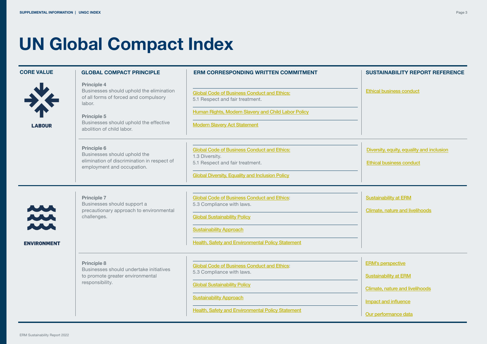### **UN Global Compact Index**

| <b>CORE VALUE</b>                                 | <b>GLOBAL COMPACT PRINCIPLE</b>                                                                                                                                                                  | <b>ERM CORRESPONDING WRITTEN COMMITMENT</b>                                                                                                                                                                          | <b>SUSTAINABILITY REPORT REFERENCE</b>                                                                                                             |
|---------------------------------------------------|--------------------------------------------------------------------------------------------------------------------------------------------------------------------------------------------------|----------------------------------------------------------------------------------------------------------------------------------------------------------------------------------------------------------------------|----------------------------------------------------------------------------------------------------------------------------------------------------|
| <b>LABOUR</b>                                     | Principle 4<br>Businesses should uphold the elimination<br>of all forms of forced and compulsory<br>labor.<br>Principle 5<br>Businesses should uphold the effective<br>abolition of child labor. | <b>Global Code of Business Conduct and Ethics:</b><br>5.1 Respect and fair treatment.<br>Human Rights, Modern Slavery and Child Labor Policy<br><b>Modern Slavery Act Statement</b>                                  | <b>Ethical business conduct</b>                                                                                                                    |
|                                                   | Principle 6<br>Businesses should uphold the<br>elimination of discrimination in respect of<br>employment and occupation.                                                                         | <b>Global Code of Business Conduct and Ethics:</b><br>1.3 Diversity.<br>5.1 Respect and fair treatment.<br><b>Global Diversity, Equality and Inclusion Policy</b>                                                    | Diversity, equity, equality and inclusion<br><b>Ethical business conduct</b>                                                                       |
| <b>NU</b><br>M<br><b>NN</b><br><b>ENVIRONMENT</b> | <b>Principle 7</b><br>Businesses should support a<br>precautionary approach to environmental<br>challenges.                                                                                      | <b>Global Code of Business Conduct and Ethics:</b><br>5.3 Compliance with laws.<br><b>Global Sustainability Policy</b><br><b>Sustainability Approach</b><br><b>Health, Safety and Environmental Policy Statement</b> | <b>Sustainability at ERM</b><br>Climate, nature and livelihoods                                                                                    |
|                                                   | Principle 8<br>Businesses should undertake initiatives<br>to promote greater environmental<br>responsibility.                                                                                    | <b>Global Code of Business Conduct and Ethics:</b><br>5.3 Compliance with laws.<br><b>Global Sustainability Policy</b><br><b>Sustainability Approach</b><br><b>Health, Safety and Environmental Policy Statement</b> | <b>ERM's perspective</b><br><b>Sustainability at ERM</b><br><b>Climate, nature and livelihoods</b><br>Impact and influence<br>Our performance data |